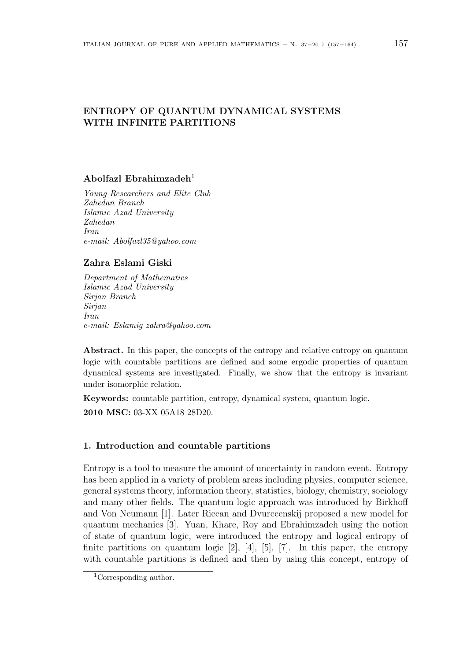# **ENTROPY OF QUANTUM DYNAMICAL SYSTEMS WITH INFINITE PARTITIONS**

## **Abolfazl Ebrahimzadeh**<sup>1</sup>

*Young Researchers and Elite Club Zahedan Branch Islamic Azad University Zahedan Iran e-mail: Abolfazl35@yahoo.com*

## **Zahra Eslami Giski**

*Department of Mathematics Islamic Azad University Sirjan Branch Sirjan Iran e-mail: Eslamig zahra@yahoo.com*

**Abstract.** In this paper, the concepts of the entropy and relative entropy on quantum logic with countable partitions are defined and some ergodic properties of quantum dynamical systems are investigated. Finally, we show that the entropy is invariant under isomorphic relation.

**Keywords:** countable partition, entropy, dynamical system, quantum logic. **2010 MSC:** 03-XX 05A18 28D20.

## **1. Introduction and countable partitions**

Entropy is a tool to measure the amount of uncertainty in random event. Entropy has been applied in a variety of problem areas including physics, computer science, general systems theory, information theory, statistics, biology, chemistry, sociology and many other fields. The quantum logic approach was introduced by Birkhoff and Von Neumann [1]. Later Riecan and Dvurecenskij proposed a new model for quantum mechanics [3]. Yuan, Khare, Roy and Ebrahimzadeh using the notion of state of quantum logic, were introduced the entropy and logical entropy of finite partitions on quantum logic  $[2]$ ,  $[4]$ ,  $[5]$ ,  $[7]$ . In this paper, the entropy with countable partitions is defined and then by using this concept, entropy of

<sup>1</sup>Corresponding author.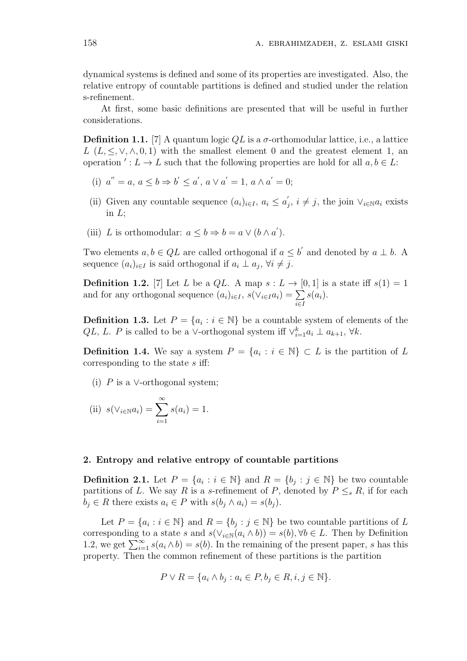dynamical systems is defined and some of its properties are investigated. Also, the relative entropy of countable partitions is defined and studied under the relation s-refinement.

At first, some basic definitions are presented that will be useful in further considerations.

**Definition 1.1.** [7] A quantum logic  $QL$  is a  $\sigma$ -orthomodular lattice, i.e., a lattice  $L(L, \leq, \vee, \wedge, 0, 1)$  with the smallest element 0 and the greatest element 1, an operation *′* :  $L \to L$  such that the following properties are hold for all  $a, b \in L$ :

- (i)  $a'' = a, a \le b \Rightarrow b' \le a', a \vee a' = 1, a \wedge a' = 0;$
- (ii) Given any countable sequence  $(a_i)_{i \in I}$ ,  $a_i \le a'_j$ ,  $i \ne j$ , the join  $\vee_{i \in \mathbb{N}} a_i$  exists in *L*;
- (iii) *L* is orthomodular:  $a \leq b \Rightarrow b = a \vee (b \wedge a')$ .

Two elements  $a, b \in QL$  are called orthogonal if  $a \leq b'$  and denoted by  $a \perp b$ . A sequence  $(a_i)_{i \in I}$  is said orthogonal if  $a_i \perp a_j$ ,  $\forall i \neq j$ .

**Definition 1.2.** [7] Let *L* be a *QL*. A map  $s: L \to [0,1]$  is a state iff  $s(1) = 1$ and for any orthogonal sequence  $(a_i)_{i \in I}$ ,  $s(\vee_{i \in I} a_i) = \sum_i$ *i∈I s*(*ai*).

**Definition 1.3.** Let  $P = \{a_i : i \in \mathbb{N}\}\$  be a countable system of elements of the *QL*, *L*. *P* is called to be a *∨*-orthogonal system iff  $\vee_{i=1}^{k} a_i \perp a_{k+1}$ ,  $\forall k$ .

**Definition 1.4.** We say a system  $P = \{a_i : i \in \mathbb{N}\}\subset L$  is the partition of *L* corresponding to the state *s* iff:

(i) *P* is a *∨*-orthogonal system;

(ii) 
$$
s(\vee_{i \in \mathbb{N}} a_i) = \sum_{i=1}^{\infty} s(a_i) = 1.
$$

#### **2. Entropy and relative entropy of countable partitions**

**Definition 2.1.** Let  $P = \{a_i : i \in \mathbb{N}\}\$ and  $R = \{b_j : j \in \mathbb{N}\}\$ be two countable partitions of *L*. We say *R* is a *s*-refinement of *P*, denoted by  $P \leq_s R$ , if for each  $b_i \in R$  there exists  $a_i \in P$  with  $s(b_i \wedge a_i) = s(b_i)$ .

Let  $P = \{a_i : i \in \mathbb{N}\}\$ and  $R = \{b_j : j \in \mathbb{N}\}\$ be two countable partitions of *L* corresponding to a state *s* and  $s(\vee_{i\in\mathbb{N}}(a_i \wedge b)) = s(b), \forall b \in L$ . Then by Definition 1.2, we get  $\sum_{i=1}^{\infty} s(a_i \wedge b) = s(b)$ . In the remaining of the present paper, *s* has this property. Then the common refinement of these partitions is the partition

$$
P \vee R = \{a_i \wedge b_j : a_i \in P, b_j \in R, i, j \in \mathbb{N}\}.
$$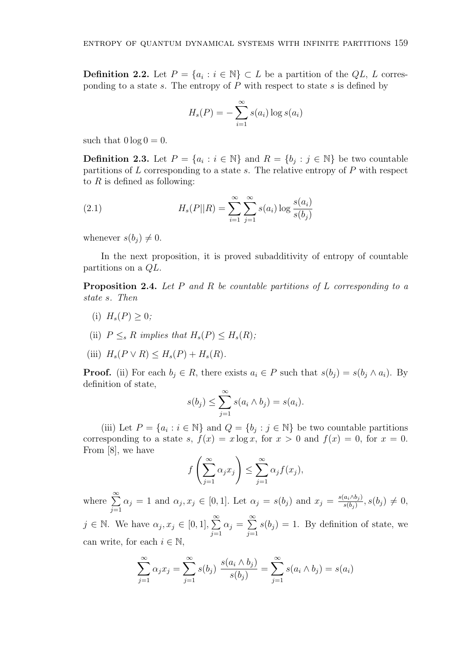**Definition 2.2.** Let  $P = \{a_i : i \in \mathbb{N}\} \subset L$  be a partition of the  $QL$ , *L* corresponding to a state *s*. The entropy of *P* with respect to state *s* is defined by

$$
H_s(P) = -\sum_{i=1}^{\infty} s(a_i) \log s(a_i)
$$

such that  $0 \log 0 = 0$ .

**Definition 2.3.** Let  $P = \{a_i : i \in \mathbb{N}\}\$ and  $R = \{b_j : j \in \mathbb{N}\}\$ be two countable partitions of *L* corresponding to a state *s*. The relative entropy of *P* with respect to *R* is defined as following:

(2.1) 
$$
H_s(P||R) = \sum_{i=1}^{\infty} \sum_{j=1}^{\infty} s(a_i) \log \frac{s(a_i)}{s(b_j)}
$$

whenever  $s(b_i) \neq 0$ .

In the next proposition, it is proved subadditivity of entropy of countable partitions on a *QL*.

**Proposition 2.4.** *Let P and R be countable partitions of L corresponding to a state s. Then*

- (i)  $H_s(P) > 0$ ;
- (ii)  $P \leq_{s} R$  *implies that*  $H_{s}(P) \leq H_{s}(R)$ ;
- (iii)  $H_s(P \vee R) \leq H_s(P) + H_s(R)$ .

**Proof.** (ii) For each  $b_j \in R$ , there exists  $a_i \in P$  such that  $s(b_j) = s(b_j \wedge a_i)$ . By definition of state,

$$
s(b_j) \leq \sum_{j=1}^{\infty} s(a_i \wedge b_j) = s(a_i).
$$

(iii) Let  $P = \{a_i : i \in \mathbb{N}\}\$ and  $Q = \{b_j : j \in \mathbb{N}\}\$ be two countable partitions corresponding to a state *s*,  $f(x) = x \log x$ , for  $x > 0$  and  $f(x) = 0$ , for  $x = 0$ . From [8], we have

$$
f\left(\sum_{j=1}^{\infty} \alpha_j x_j\right) \le \sum_{j=1}^{\infty} \alpha_j f(x_j),
$$

where <sup>∑</sup>*<sup>∞</sup> j*=1  $\alpha_j = 1$  and  $\alpha_j, x_j \in [0, 1]$ . Let  $\alpha_j = s(b_j)$  and  $x_j = \frac{s(a_i \wedge b_j)}{s(b_i)}$  $\frac{a_i \wedge b_j j}{s(b_j)}, s(b_j) \neq 0,$  $j \in \mathbb{N}$ . We have  $\alpha_j, x_j \in [0, 1], \sum_{i=1}^{\infty}$ *j*=1  $\alpha_j = \sum^{\infty}$ *j*=1  $s(b_j) = 1$ . By definition of state, we can write, for each  $i \in \mathbb{N}$ ,

$$
\sum_{j=1}^{\infty} \alpha_j x_j = \sum_{j=1}^{\infty} s(b_j) \frac{s(a_i \wedge b_j)}{s(b_j)} = \sum_{j=1}^{\infty} s(a_i \wedge b_j) = s(a_i)
$$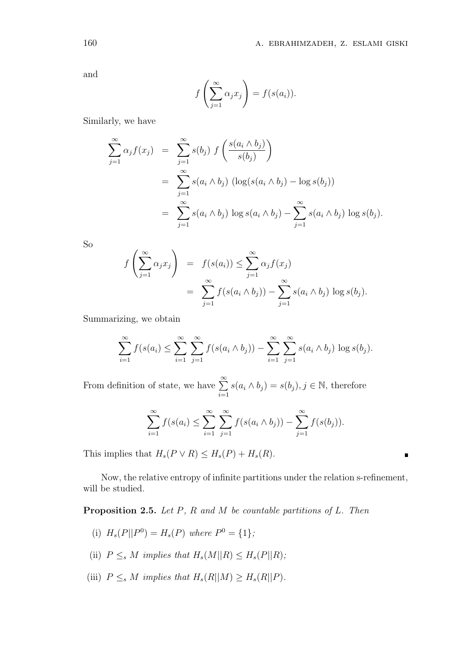$\blacksquare$ 

and

$$
f\left(\sum_{j=1}^{\infty} \alpha_j x_j\right) = f(s(a_i)).
$$

Similarly, we have

$$
\sum_{j=1}^{\infty} \alpha_j f(x_j) = \sum_{j=1}^{\infty} s(b_j) f\left(\frac{s(a_i \wedge b_j)}{s(b_j)}\right)
$$
  
= 
$$
\sum_{j=1}^{\infty} s(a_i \wedge b_j) (\log(s(a_i \wedge b_j) - \log s(b_j))
$$
  
= 
$$
\sum_{j=1}^{\infty} s(a_i \wedge b_j) \log s(a_i \wedge b_j) - \sum_{j=1}^{\infty} s(a_i \wedge b_j) \log s(b_j).
$$

So

$$
f\left(\sum_{j=1}^{\infty} \alpha_j x_j\right) = f(s(a_i)) \leq \sum_{j=1}^{\infty} \alpha_j f(x_j)
$$
  
= 
$$
\sum_{j=1}^{\infty} f(s(a_i \wedge b_j)) - \sum_{j=1}^{\infty} s(a_i \wedge b_j) \log s(b_j).
$$

Summarizing, we obtain

$$
\sum_{i=1}^{\infty} f(s(a_i) \leq \sum_{i=1}^{\infty} \sum_{j=1}^{\infty} f(s(a_i \wedge b_j)) - \sum_{i=1}^{\infty} \sum_{j=1}^{\infty} s(a_i \wedge b_j) \log s(b_j).
$$

From definition of state, we have <sup>∑</sup>*<sup>∞</sup> i*=1  $s(a_i \wedge b_j) = s(b_j), j \in \mathbb{N}$ , therefore

$$
\sum_{i=1}^{\infty} f(s(a_i) \leq \sum_{i=1}^{\infty} \sum_{j=1}^{\infty} f(s(a_i \wedge b_j)) - \sum_{j=1}^{\infty} f(s(b_j)).
$$

This implies that  $H_s(P \vee R) \leq H_s(P) + H_s(R)$ .

Now, the relative entropy of infinite partitions under the relation s-refinement, will be studied.

**Proposition 2.5.** *Let P, R and M be countable partitions of L. Then*

- (i)  $H_s(P||P^0) = H_s(P)$  where  $P^0 = \{1\}$ ;
- (ii)  $P \leq_s M$  *implies that*  $H_s(M||R) \leq H_s(P||R)$ ;
- (iii)  $P \leq_s M$  *implies that*  $H_s(R||M) \geq H_s(R||P)$ .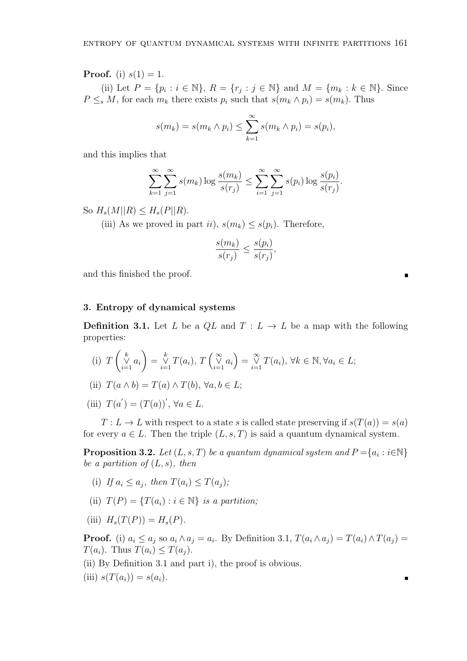**Proof.** (i)  $s(1) = 1$ .

(ii) Let  $P = \{p_i : i \in \mathbb{N}\}, R = \{r_j : j \in \mathbb{N}\}\$  and  $M = \{m_k : k \in \mathbb{N}\}.$  Since  $P \leq_s M$ , for each  $m_k$  there exists  $p_i$  such that  $s(m_k \wedge p_i) = s(m_k)$ . Thus

$$
s(m_k) = s(m_k \wedge p_i) \le \sum_{k=1}^{\infty} s(m_k \wedge p_i) = s(p_i),
$$

and this implies that

$$
\sum_{k=1}^{\infty} \sum_{j=1}^{\infty} s(m_k) \log \frac{s(m_k)}{s(r_j)} \le \sum_{i=1}^{\infty} \sum_{j=1}^{\infty} s(p_i) \log \frac{s(p_i)}{s(r_j)}.
$$

 $\text{So } H_s(M||R) \leq H_s(P||R).$ 

(iii) As we proved in part *ii*),  $s(m_k) \leq s(p_i)$ . Therefore,

$$
\frac{s(m_k)}{s(r_j)} \le \frac{s(p_i)}{s(r_j)},
$$

and this finished the proof.

#### **3. Entropy of dynamical systems**

**Definition 3.1.** Let *L* be a  $QL$  and  $T: L \rightarrow L$  be a map with the following properties:

(i) *T*  $\int_{i=1}^{k} a_i$  $\setminus$ =  $\bigvee_{i=1}^{k} T(a_i)$ ,  $T\left(\bigvee_{i=1}^{\infty} a_i\right)$  =  $\bigvee_{i=1}^{\infty} T(a_i)$ ,  $\forall k \in \mathbb{N}, \forall a_i \in L$ ;

(ii) 
$$
T(a \wedge b) = T(a) \wedge T(b), \forall a, b \in L;
$$

(iii)  $T(a') = (T(a))'$ ,  $\forall a \in L$ .

 $T: L \to L$  with respect to a state *s* is called state preserving if  $s(T(a)) = s(a)$ for every  $a \in L$ . Then the triple  $(L, s, T)$  is said a quantum dynamical system.

**Proposition 3.2.** *Let*  $(L, s, T)$  *be a quantum dynamical system and*  $P = \{a_i : i \in \mathbb{N}\}\$ *be a partition of* (*L, s*)*, then*

- (i) *If*  $a_i \leq a_j$ , then  $T(a_i) \leq T(a_j)$ ;
- (ii)  $T(P) = \{T(a_i) : i \in \mathbb{N}\}\$ is a partition;
- (iii)  $H_s(T(P)) = H_s(P)$ .

**Proof.** (i)  $a_i \leq a_j$  so  $a_i \wedge a_j = a_i$ . By Definition 3.1,  $T(a_i \wedge a_j) = T(a_i) \wedge T(a_j) = T(a_i)$  $T(a_i)$ . Thus  $T(a_i) \leq T(a_i)$ .

- (ii) By Definition 3.1 and part i), the proof is obvious.
- $(iii)$   $s(T(a_i)) = s(a_i)$ .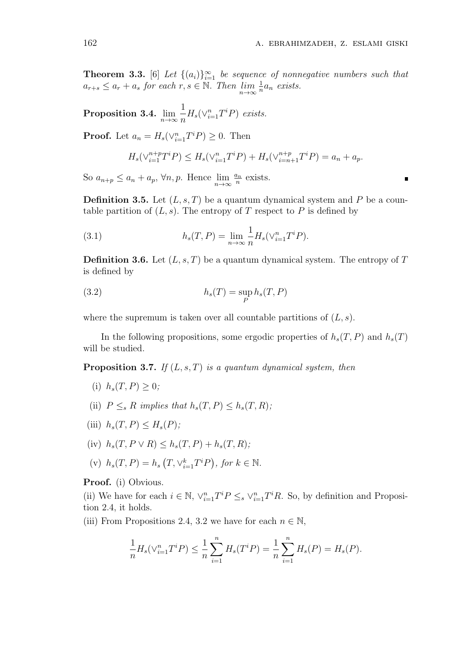**Theorem 3.3.** [6] Let  $\{(a_i)\}_{i=1}^{\infty}$  be sequence of nonnegative numbers such that  $a_{r+s} \leq a_r + a_s$  *for each*  $r, s \in \mathbb{N}$ *. Then*  $\lim_{n \to \infty} \frac{1}{n}$  $\frac{1}{n}a_n$  *exists.* 

**Proposition 3.4.**  $\lim_{n\to\infty}$ 1  $\frac{1}{n}H_s(\vee_{i=1}^n T^iP)$  *exists.* 

**Proof.** Let  $a_n = H_s(\vee_{i=1}^n T^i P) \geq 0$ . Then

$$
H_s(\vee_{i=1}^{n+p}T^iP) \le H_s(\vee_{i=1}^{n}T^iP) + H_s(\vee_{i=n+1}^{n+p}T^iP) = a_n + a_p.
$$

So  $a_{n+p} \le a_n + a_p$ ,  $\forall n, p$ . Hence  $\lim_{n \to \infty} \frac{a_n}{n}$  $\frac{n}{n}$  exists.

**Definition 3.5.** Let (*L, s, T*) be a quantum dynamical system and *P* be a countable partition of  $(L, s)$ . The entropy of  $T$  respect to  $P$  is defined by

(3.1) 
$$
h_s(T, P) = \lim_{n \to \infty} \frac{1}{n} H_s(\vee_{i=1}^n T^i P).
$$

**Definition 3.6.** Let (*L, s, T*) be a quantum dynamical system. The entropy of *T* is defined by

(3.2) 
$$
h_s(T) = \sup_P h_s(T, P)
$$

where the supremum is taken over all countable partitions of  $(L, s)$ .

In the following propositions, some ergodic properties of  $h_s(T, P)$  and  $h_s(T)$ will be studied.

**Proposition 3.7.** *If* (*L, s, T*) *is a quantum dynamical system, then*

- (i)  $h_s(T, P) > 0$ ;
- (ii)  $P \leq_s R$  *implies that*  $h_s(T, P) \leq h_s(T, R)$ ;
- (iii)  $h_s(T, P) \leq H_s(P)$ ;
- $h_s(T, P \vee R) \leq h_s(T, P) + h_s(T, R);$
- (v)  $h_s(T, P) = h_s(T, \vee_{i=1}^k T^i P)$ , for  $k \in \mathbb{N}$ .

**Proof.** (i) Obvious.

(ii) We have for each  $i \in \mathbb{N}$ ,  $\vee_{i=1}^{n} T^{i} P \leq_{s} \vee_{i=1}^{n} T^{i} R$ . So, by definition and Proposition 2.4, it holds.

(iii) From Propositions 2.4, 3.2 we have for each  $n \in \mathbb{N}$ ,

$$
\frac{1}{n}H_s(\vee_{i=1}^n T^i P) \le \frac{1}{n} \sum_{i=1}^n H_s(T^i P) = \frac{1}{n} \sum_{i=1}^n H_s(P) = H_s(P).
$$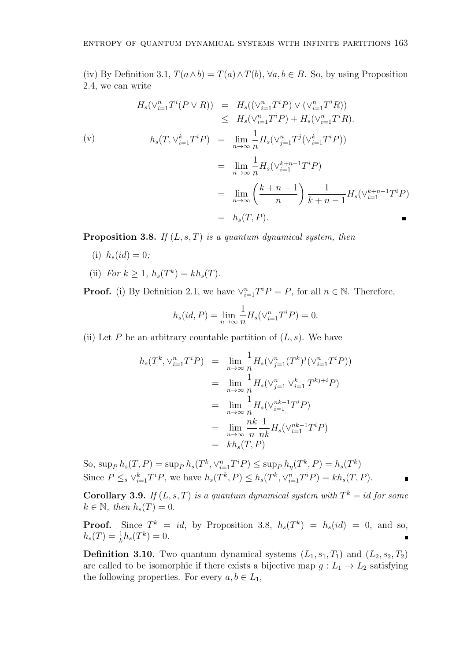(iv) By Definition 3.1,  $T(a \wedge b) = T(a) \wedge T(b)$ ,  $\forall a, b \in B$ . So, by using Proposition 2.4, we can write

$$
H_s(\vee_{i=1}^n T^i(P \vee R)) = H_s((\vee_{i=1}^n T^i P) \vee (\vee_{i=1}^n T^i R))
$$
  
\n
$$
\leq H_s(\vee_{i=1}^n T^i P) + H_s(\vee_{i=1}^n T^i R).
$$
  
\n(v) 
$$
h_s(T, \vee_{i=1}^k T^i P) = \lim_{n \to \infty} \frac{1}{n} H_s(\vee_{j=1}^n T^j (\vee_{i=1}^k T^i P))
$$
  
\n
$$
= \lim_{n \to \infty} \frac{1}{n} H_s(\vee_{i=1}^{k+n-1} T^i P)
$$
  
\n
$$
= \lim_{n \to \infty} \left(\frac{k+n-1}{n}\right) \frac{1}{k+n-1} H_s(\vee_{i=1}^{k+n-1} T^i P)
$$
  
\n
$$
= h_s(T, P).
$$

**Proposition 3.8.** *If* (*L, s, T*) *is a quantum dynamical system, then*

- (i)  $h_s(id) = 0$ ;
- (ii) *For*  $k \geq 1$ *,*  $h_s(T^k) = kh_s(T)$ *.*

**Proof.** (i) By Definition 2.1, we have  $\vee_{i=1}^{n} T^{i}P = P$ , for all  $n \in \mathbb{N}$ . Therefore,

$$
h_s(id, P) = \lim_{n \to \infty} \frac{1}{n} H_s(\vee_{i=1}^n T^i P) = 0.
$$

(ii) Let *P* be an arbitrary countable partition of  $(L, s)$ . We have

$$
h_s(T^k, \vee_{i=1}^n T^i P) = \lim_{n \to \infty} \frac{1}{n} H_s(\vee_{j=1}^n (T^k)^j (\vee_{i=1}^n T^i P))
$$
  

$$
= \lim_{n \to \infty} \frac{1}{n} H_s(\vee_{j=1}^n \vee_{i=1}^k T^{kj+i} P)
$$
  

$$
= \lim_{n \to \infty} \frac{1}{n} H_s(\vee_{i=1}^{nk-1} T^i P)
$$
  

$$
= \lim_{n \to \infty} \frac{nk}{n} \frac{1}{nk} H_s(\vee_{i=1}^{nk-1} T^i P)
$$
  

$$
= kh_s(T, P)
$$

So,  $\sup_P h_s(T, P) = \sup_P h_s(T^k, \vee_{i=1}^n T^i P) \le \sup_P h_{\eta}(T^k, P) = h_s(T^k)$ Since  $P \leq_s \vee_{i=1}^k T^i P$ , we have  $h_s(T^k, P) \leq h_s(T^k, \vee_{i=1}^n T^i P) = kh_s(T, P)$ .

**Corollary 3.9.** *If*  $(L, s, T)$  *is a quantum dynamical system with*  $T^k = id$  *for some*  $k \in \mathbb{N}$ *, then*  $h_s(T) = 0$ *.* 

**Proof.** Since  $T^k = id$ , by Proposition 3.8,  $h_s(T^k) = h_s(id) = 0$ , and so,  $h_s(T) = \frac{1}{k}h_s(T^k) = 0.$ 

**Definition 3.10.** Two quantum dynamical systems  $(L_1, s_1, T_1)$  and  $(L_2, s_2, T_2)$ are called to be isomorphic if there exists a bijective map  $g: L_1 \to L_2$  satisfying the following properties. For every  $a, b \in L_1$ ,